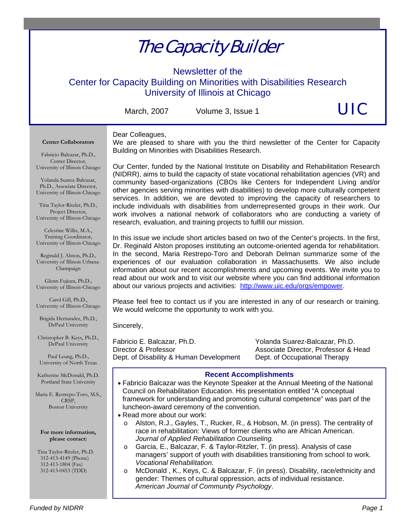# The Capacity Builder

Newsletter of the

Center for Capacity Building on Minorities with Disabilities Research University of Illinois at Chicago

Dear Colleagues,

March, 2007 Volume 3, Issue 1

UIC

#### **Center Collaborators**

We are pleased to share with you the third newsletter of the Center for Capacity Building on Minorities with Disabilities Research.

Fabricio Balcazar, Ph.D., Center Director, University of Illinois-Chicago

Yolanda Suarez-Balcazar, Ph.D., Associate Director, University of Illinois-Chicago

Tina Taylor-Ritzler, Ph.D., Project Director, University of Illinois-Chicago

Celestine Willis, M.A., Training Coordinator, University of Illinois-Chicago

Reginald J. Alston, Ph.D., University of Illinois Urbana-Champaign

Glenn Fujiura, Ph.D., University of Illinois-Chicago

Carol Gill, Ph.D., University of Illinois-Chicago

Brigida Hernandez, Ph.D., DePaul University

Christopher B. Keys, Ph.D., DePaul University

Paul Leung, Ph.D., University of North Texas

Katherine McDonald, Ph.D. Portland State University

Maria E. Restrepo-Toro, M.S., CRSP, Boston University

**For more information, please contact:** 

 Tina Taylor-Ritzler, Ph.D. 312-413-4149 (Phone) 312-413-1804 (Fax) 312-413-0453 (TDD)

Our Center, funded by the National Institute on Disability and Rehabilitation Research (NIDRR), aims to build the capacity of state vocational rehabilitation agencies (VR) and community based-organizations (CBOs like Centers for Independent Living and/or other agencies serving minorities with disabilities) to develop more culturally competent services. In addition, we are devoted to improving the capacity of researchers to include individuals with disabilities from underrepresented groups in their work. Our work involves a national network of collaborators who are conducting a variety of research, evaluation, and training projects to fulfill our mission.

In this issue we include short articles based on two of the Center's projects. In the first, Dr. Reginald Alston proposes instituting an outcome-oriented agenda for rehabilitation. In the second, Maria Restrepo-Toro and Deborah Delman summarize some of the experiences of our evaluation collaboration in Massachusetts. We also include information about our recent accomplishments and upcoming events. We invite you to read about our work and to visit our website where you can find additional information about our various projects and activities: http://www.uic.edu/orgs/empower.

Please feel free to contact us if you are interested in any of our research or training. We would welcome the opportunity to work with you.

Sincerely,

Fabricio E. Balcazar, Ph.D. Yolanda Suarez-Balcazar, Ph.D. Director & Professor **Associate Director, Professor & Head** Dept. of Disability & Human Development Dept. of Occupational Therapy

## **Recent Accomplishments**

- Fabricio Balcazar was the Keynote Speaker at the Annual Meeting of the National Council on Rehabilitation Education. His presentation entitled "A conceptual framework for understanding and promoting cultural competence" was part of the luncheon-award ceremony of the convention.
- Read more about our work:
	- o Alston, R.J., Gayles, T., Rucker, R., & Hobson, M. (in press). The centrality of race in rehabilitation: Views of former clients who are African American. *Journal of Applied Rehabilitation Counseling.*
	- o Garcia, E., Balcazar, F. & Taylor-Ritzler, T. (in press). Analysis of case managers' support of youth with disabilities transitioning from school to work. *Vocational Rehabilitation.*
	- o McDonald , K., Keys, C. & Balcazar, F. (in press). Disability, race/ethnicity and gender: Themes of cultural oppression, acts of individual resistance. *American Journal of Community Psychology*.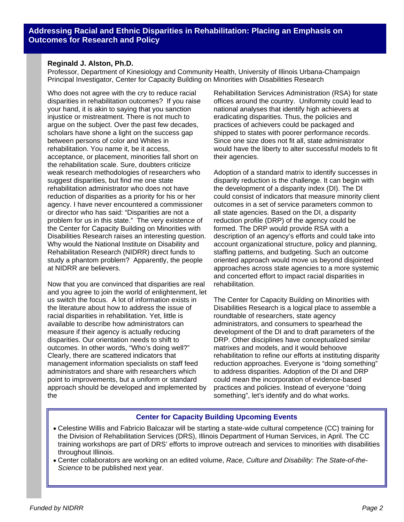## **Reginald J. Alston, Ph.D.**

Professor, Department of Kinesiology and Community Health, University of Illinois Urbana-Champaign Principal Investigator, Center for Capacity Building on Minorities with Disabilities Research

Who does not agree with the cry to reduce racial disparities in rehabilitation outcomes? If you raise your hand, it is akin to saying that you sanction injustice or mistreatment. There is not much to argue on the subject. Over the past few decades, scholars have shone a light on the success gap between persons of color and Whites in rehabilitation. You name it, be it access, acceptance, or placement, minorities fall short on the rehabilitation scale. Sure, doubters criticize weak research methodologies of researchers who suggest disparities, but find me one state rehabilitation administrator who does not have reduction of disparities as a priority for his or her agency. I have never encountered a commissioner or director who has said: "Disparities are not a problem for us in this state." The very existence of the Center for Capacity Building on Minorities with Disabilities Research raises an interesting question. Why would the National Institute on Disability and Rehabilitation Research (NIDRR) direct funds to study a phantom problem? Apparently, the people at NIDRR are believers.

Now that you are convinced that disparities are real and you agree to join the world of enlightenment, let us switch the focus. A lot of information exists in the literature about how to address the issue of racial disparities in rehabilitation. Yet, little is available to describe how administrators can measure if their agency is actually reducing disparities. Our orientation needs to shift to outcomes. In other words, "Who's doing well?" Clearly, there are scattered indicators that management information specialists on staff feed administrators and share with researchers which point to improvements, but a uniform or standard approach should be developed and implemented by the

Rehabilitation Services Administration (RSA) for state offices around the country. Uniformity could lead to national analyses that identify high achievers at eradicating disparities. Thus, the policies and practices of achievers could be packaged and shipped to states with poorer performance records. Since one size does not fit all, state administrator would have the liberty to alter successful models to fit their agencies.

Adoption of a standard matrix to identify successes in disparity reduction is the challenge. It can begin with the development of a disparity index (DI). The DI could consist of indicators that measure minority client outcomes in a set of service parameters common to all state agencies. Based on the DI, a disparity reduction profile (DRP) of the agency could be formed. The DRP would provide RSA with a description of an agency's efforts and could take into account organizational structure, policy and planning, staffing patterns, and budgeting. Such an outcome oriented approach would move us beyond disjointed approaches across state agencies to a more systemic and concerted effort to impact racial disparities in rehabilitation.

The Center for Capacity Building on Minorities with Disabilities Research is a logical place to assemble a roundtable of researchers, state agency administrators, and consumers to spearhead the development of the DI and to draft parameters of the DRP. Other disciplines have conceptualized similar matrixes and models, and it would behoove rehabilitation to refine our efforts at instituting disparity reduction approaches. Everyone is "doing something" to address disparities. Adoption of the DI and DRP could mean the incorporation of evidence-based practices and policies. Instead of everyone "doing something", let's identify and do what works.

## **Center for Capacity Building Upcoming Events**

- Celestine Willis and Fabricio Balcazar will be starting a state-wide cultural competence (CC) training for the Division of Rehabilitation Services (DRS), Illinois Department of Human Services, in April. The CC training workshops are part of DRS' efforts to improve outreach and services to minorities with disabilities throughout Illinois.
- Center collaborators are working on an edited volume, *Race, Culture and Disability: The State-of-the-Science* to be published next year.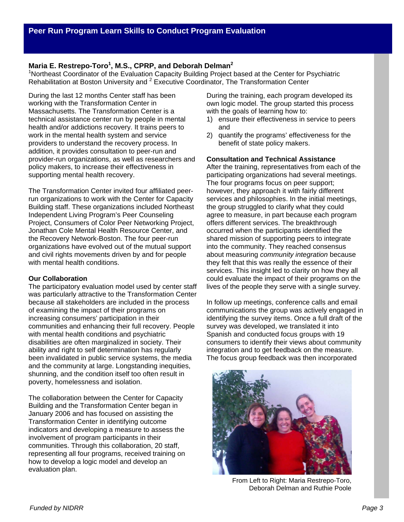## **Maria E. Restrepo-Toro<sup>1</sup> , M.S., CPRP, and Deborah Delman2**

<sup>1</sup>Northeast Coordinator of the Evaluation Capacity Building Project based at the Center for Psychiatric Rehabilitation at Boston University and <sup>2</sup> Executive Coordinator, The Transformation Center

During the last 12 months Center staff has been working with the Transformation Center in Massachusetts. The Transformation Center is a technical assistance center run by people in mental health and/or addictions recovery. It trains peers to work in the mental health system and service providers to understand the recovery process. In addition, it provides consultation to peer-run and provider-run organizations, as well as researchers and policy makers, to increase their effectiveness in supporting mental health recovery.

The Transformation Center invited four affiliated peerrun organizations to work with the Center for Capacity Building staff. These organizations included Northeast Independent Living Program's Peer Counseling Project, Consumers of Color Peer Networking Project, Jonathan Cole Mental Health Resource Center, and the Recovery Network-Boston. The four peer-run organizations have evolved out of the mutual support and civil rights movements driven by and for people with mental health conditions.

## **Our Collaboration**

The participatory evaluation model used by center staff was particularly attractive to the Transformation Center because all stakeholders are included in the process of examining the impact of their programs on increasing consumers' participation in their communities and enhancing their full recovery. People with mental health conditions and psychiatric disabilities are often marginalized in society. Their ability and right to self determination has regularly been invalidated in public service systems, the media and the community at large. Longstanding inequities, shunning, and the condition itself too often result in poverty, homelessness and isolation.

The collaboration between the Center for Capacity Building and the Transformation Center began in January 2006 and has focused on assisting the Transformation Center in identifying outcome indicators and developing a measure to assess the involvement of program participants in their communities. Through this collaboration, 20 staff, representing all four programs, received training on how to develop a logic model and develop an evaluation plan.

During the training, each program developed its own logic model. The group started this process with the goals of learning how to:

- 1) ensure their effectiveness in service to peers and
- 2) quantify the programs' effectiveness for the benefit of state policy makers.

#### **Consultation and Technical Assistance**

After the training, representatives from each of the participating organizations had several meetings. The four programs focus on peer support; however, they approach it with fairly different services and philosophies. In the initial meetings, the group struggled to clarify what they could agree to measure, in part because each program offers different services. The breakthrough occurred when the participants identified the shared mission of supporting peers to integrate into the community. They reached consensus about measuring *community integration* because they felt that this was really the essence of their services. This insight led to clarity on how they all could evaluate the impact of their programs on the lives of the people they serve with a single survey.

In follow up meetings, conference calls and email communications the group was actively engaged in identifying the survey items. Once a full draft of the survey was developed, we translated it into Spanish and conducted focus groups with 19 consumers to identify their views about community integration and to get feedback on the measure. The focus group feedback was then incorporated



From Left to Right: Maria Restrepo-Toro, Deborah Delman and Ruthie Poole